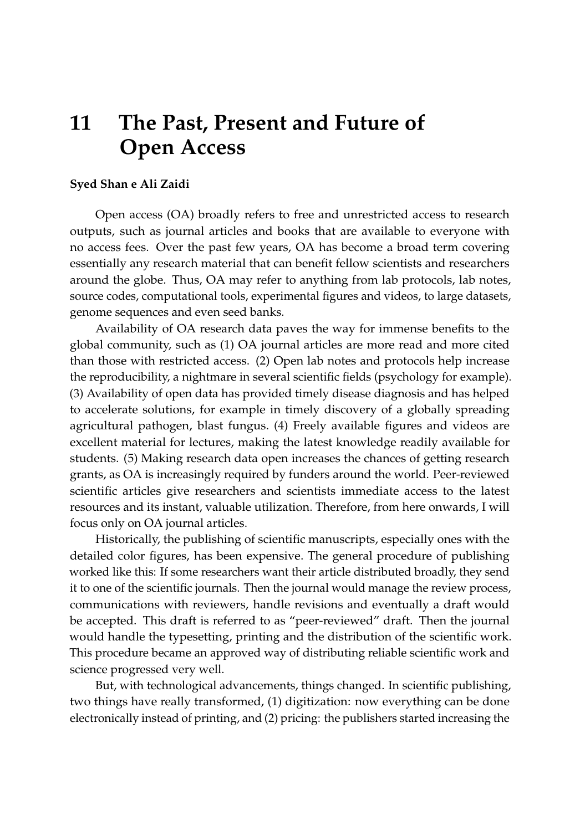## **11 The Past, Present and Future of Open Access**

## **Syed Shan e Ali Zaidi**

Open access (OA) broadly refers to free and unrestricted access to research outputs, such as journal articles and books that are available to everyone with no access fees. Over the past few years, OA has become a broad term covering essentially any research material that can benefit fellow scientists and researchers around the globe. Thus, OA may refer to anything from lab protocols, lab notes, source codes, computational tools, experimental figures and videos, to large datasets, genome sequences and even seed banks.

Availability of OA research data paves the way for immense benefits to the global community, such as (1) OA journal articles are more read and more cited than those with restricted access. (2) Open lab notes and protocols help increase the reproducibility, a nightmare in several scientific fields (psychology for example). (3) Availability of open data has provided timely disease diagnosis and has helped to accelerate solutions, for example in timely discovery of a globally spreading agricultural pathogen, blast fungus. (4) Freely available figures and videos are excellent material for lectures, making the latest knowledge readily available for students. (5) Making research data open increases the chances of getting research grants, as OA is increasingly required by funders around the world. Peer-reviewed scientific articles give researchers and scientists immediate access to the latest resources and its instant, valuable utilization. Therefore, from here onwards, I will focus only on OA journal articles.

Historically, the publishing of scientific manuscripts, especially ones with the detailed color figures, has been expensive. The general procedure of publishing worked like this: If some researchers want their article distributed broadly, they send it to one of the scientific journals. Then the journal would manage the review process, communications with reviewers, handle revisions and eventually a draft would be accepted. This draft is referred to as "peer-reviewed" draft. Then the journal would handle the typesetting, printing and the distribution of the scientific work. This procedure became an approved way of distributing reliable scientific work and science progressed very well.

But, with technological advancements, things changed. In scientific publishing, two things have really transformed, (1) digitization: now everything can be done electronically instead of printing, and (2) pricing: the publishers started increasing the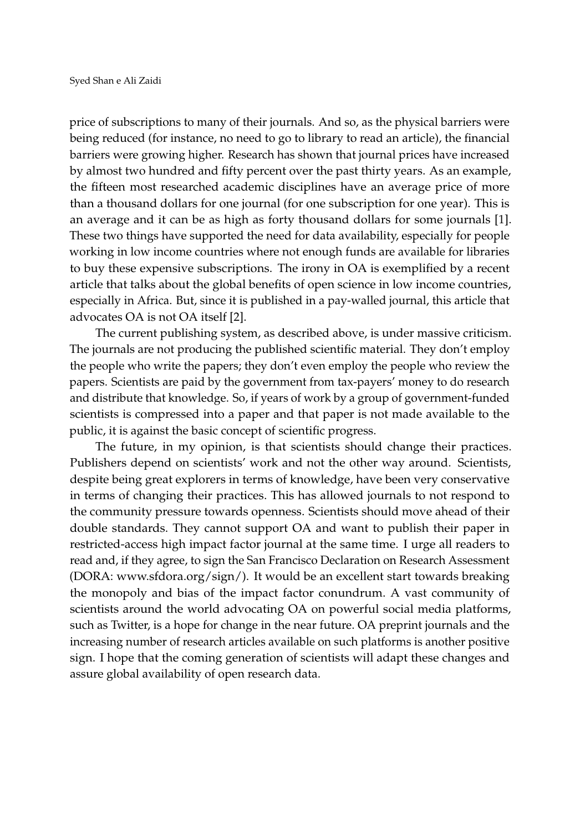price of subscriptions to many of their journals. And so, as the physical barriers were being reduced (for instance, no need to go to library to read an article), the financial barriers were growing higher. Research has shown that journal prices have increased by almost two hundred and fifty percent over the past thirty years. As an example, the fifteen most researched academic disciplines have an average price of more than a thousand dollars for one journal (for one subscription for one year). This is an average and it can be as high as forty thousand dollars for some journals [\[1\]](#page-2-0). These two things have supported the need for data availability, especially for people working in low income countries where not enough funds are available for libraries to buy these expensive subscriptions. The irony in OA is exemplified by a recent article that talks about the global benefits of open science in low income countries, especially in Africa. But, since it is published in a pay-walled journal, this article that advocates OA is not OA itself [\[2\]](#page-2-1).

The current publishing system, as described above, is under massive criticism. The journals are not producing the published scientific material. They don't employ the people who write the papers; they don't even employ the people who review the papers. Scientists are paid by the government from tax-payers' money to do research and distribute that knowledge. So, if years of work by a group of government-funded scientists is compressed into a paper and that paper is not made available to the public, it is against the basic concept of scientific progress.

The future, in my opinion, is that scientists should change their practices. Publishers depend on scientists' work and not the other way around. Scientists, despite being great explorers in terms of knowledge, have been very conservative in terms of changing their practices. This has allowed journals to not respond to the community pressure towards openness. Scientists should move ahead of their double standards. They cannot support OA and want to publish their paper in restricted-access high impact factor journal at the same time. I urge all readers to read and, if they agree, to sign the San Francisco Declaration on Research Assessment (DORA: www.sfdora.org/sign/). It would be an excellent start towards breaking the monopoly and bias of the impact factor conundrum. A vast community of scientists around the world advocating OA on powerful social media platforms, such as Twitter, is a hope for change in the near future. OA preprint journals and the increasing number of research articles available on such platforms is another positive sign. I hope that the coming generation of scientists will adapt these changes and assure global availability of open research data.